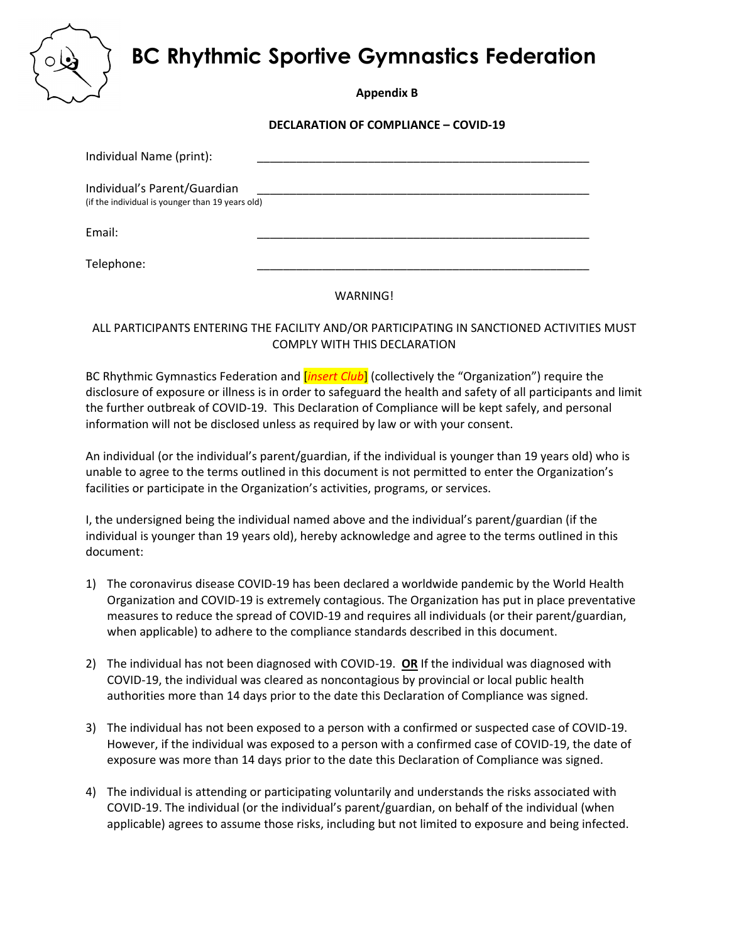**BC Rhythmic Sportive Gymnastics Federation**



**Appendix B**

**DECLARATION OF COMPLIANCE – COVID-19**

| Individual Name (print):                         |  |
|--------------------------------------------------|--|
| Individual's Parent/Guardian                     |  |
| (if the individual is younger than 19 years old) |  |
| Email:                                           |  |
| Telephone:                                       |  |

WARNING!

ALL PARTICIPANTS ENTERING THE FACILITY AND/OR PARTICIPATING IN SANCTIONED ACTIVITIES MUST COMPLY WITH THIS DECLARATION

BC Rhythmic Gymnastics Federation and [*insert Club*] (collectively the "Organization") require the disclosure of exposure or illness is in order to safeguard the health and safety of all participants and limit the further outbreak of COVID-19. This Declaration of Compliance will be kept safely, and personal information will not be disclosed unless as required by law or with your consent.

An individual (or the individual's parent/guardian, if the individual is younger than 19 years old) who is unable to agree to the terms outlined in this document is not permitted to enter the Organization's facilities or participate in the Organization's activities, programs, or services.

I, the undersigned being the individual named above and the individual's parent/guardian (if the individual is younger than 19 years old), hereby acknowledge and agree to the terms outlined in this document:

- 1) The coronavirus disease COVID-19 has been declared a worldwide pandemic by the World Health Organization and COVID-19 is extremely contagious. The Organization has put in place preventative measures to reduce the spread of COVID-19 and requires all individuals (or their parent/guardian, when applicable) to adhere to the compliance standards described in this document.
- 2) The individual has not been diagnosed with COVID-19. **OR** If the individual was diagnosed with COVID-19, the individual was cleared as noncontagious by provincial or local public health authorities more than 14 days prior to the date this Declaration of Compliance was signed.
- 3) The individual has not been exposed to a person with a confirmed or suspected case of COVID-19. However, if the individual was exposed to a person with a confirmed case of COVID-19, the date of exposure was more than 14 days prior to the date this Declaration of Compliance was signed.
- 4) The individual is attending or participating voluntarily and understands the risks associated with COVID-19. The individual (or the individual's parent/guardian, on behalf of the individual (when applicable) agrees to assume those risks, including but not limited to exposure and being infected.